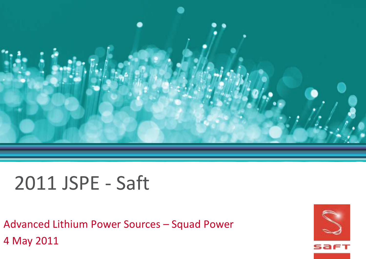

# 2011 JSPE - Saft

Advanced Lithium Power Sources – Squad Power 4 May 2011

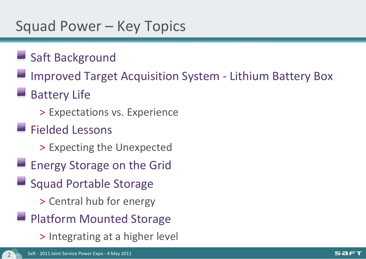### Squad Power – Key Topics

- Saft Background
- Improved Target Acquisition System Lithium Battery Box
- Battery Life
	- > Expectations vs. Experience
- **Fielded Lessons** 
	- > Expecting the Unexpected
- **Energy Storage on the Grid**
- **Squad Portable Storage** 
	- > Central hub for energy
- **Platform Mounted Storage** 
	- > Integrating at a higher level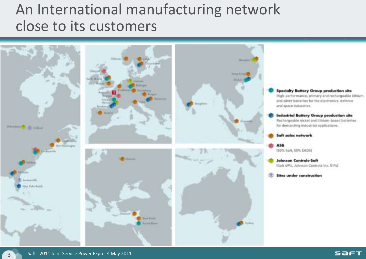## An International manufacturing network close to its customers

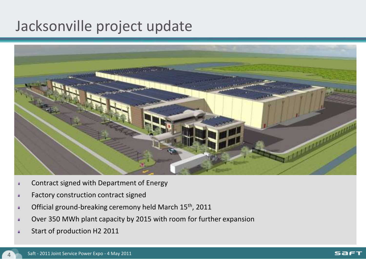#### Jacksonville project update



- Contract signed with Department of Energy
- Factory construction contract signed
- Official ground-breaking ceremony held March 15<sup>th</sup>, 2011
- Over 350 MWh plant capacity by 2015 with room for further expansion
- Start of production H2 2011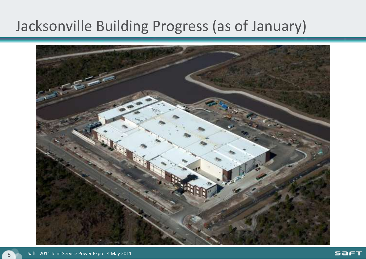## Jacksonville Building Progress (as of January)

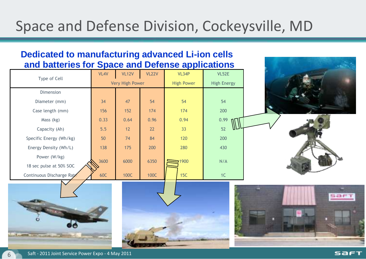## Space and Defense Division, Cockeysville, MD

#### **Dedicated to manufacturing advanced Li-ion cells and batteries for Space and Defense applications**

| Type of Cell              | VL4V | <b>VL12V</b>    | <b>VL22V</b> | VL34P             | VL52E              |     |
|---------------------------|------|-----------------|--------------|-------------------|--------------------|-----|
|                           |      | Very High Power |              | <b>High Power</b> | <b>High Energy</b> |     |
| Dimension                 |      |                 |              |                   |                    |     |
| Diameter (mm)             | 34   | 47              | 54           | 54                | 54                 |     |
| Case length (mm)          | 156  | 152             | 174          | 174               | 200                |     |
| Mass (kg)                 | 0.33 | 0.64            | 0.96         | 0.94              | 0.99               |     |
| Capacity (Ah)             | 5.5  | 12              | 22           | 33                | 52                 |     |
| Specific Energy (Wh/kg)   | 50   | 74              | 84           | 120               | 200                |     |
| Energy Density (Wh/L)     | 138  | 175             | 200          | 280               | 430                |     |
| Power (W/kg)              | 3600 | 6000            | 6350         | 1900              | N/A                |     |
| 18 sec pulse at 50% SOC   |      |                 |              |                   |                    |     |
| Continuous Discharge Rate | 60C  | 100C            | 100C         | 15C               | 1C                 |     |
|                           |      |                 |              |                   |                    | sar |

saeı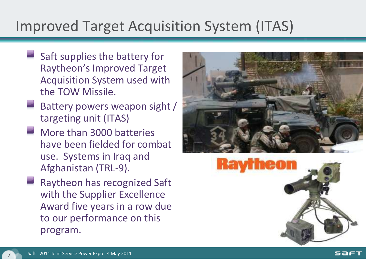## Improved Target Acquisition System (ITAS)

- Saft supplies the battery for Raytheon's Improved Target Acquisition System used with the TOW Missile.
- Battery powers weapon sight / targeting unit (ITAS)
- More than 3000 batteries have been fielded for combat use. Systems in Iraq and Afghanistan (TRL-9).
- Raytheon has recognized Saft with the Supplier Excellence Award five years in a row due to our performance on this program.





saeı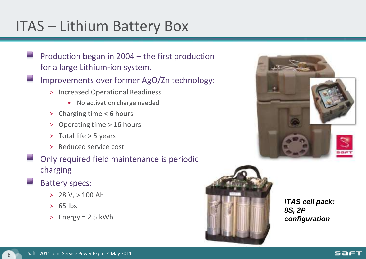## ITAS – Lithium Battery Box

- Production began in 2004 the first production for a large Lithium-ion system.
- Improvements over former AgO/Zn technology:
	- > Increased Operational Readiness
		- No activation charge needed
	- > Charging time < 6 hours
	- > Operating time > 16 hours
	- > Total life > 5 years
	- > Reduced service cost
- Only required field maintenance is periodic charging
- Battery specs:
	- > 28 V, > 100 Ah
	- $> 65$  lbs
	- > Energy = 2.5 kWh



*ITAS cell pack: 8S, 2P configuration*

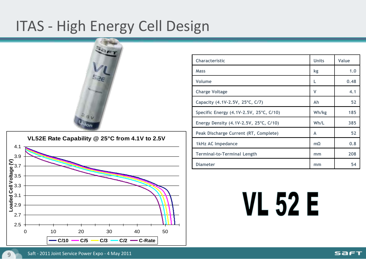## ITAS - High Energy Cell Design





| Characteristic                                  | <b>Units</b> | Value |
|-------------------------------------------------|--------------|-------|
| Mass                                            | kg           | 1.0   |
| Volume                                          | L            | 0.48  |
| <b>Charge Voltage</b>                           | v            | 4.1   |
| Capacity (4.1V-2.5V, 25°C, C/7)                 | Ah           | 52    |
| Specific Energy (4.1V-2.5V, 25°C, C/10)         | Wh/kg        | 185   |
| Energy Density $(4.1V-2.5V, 25^{\circ}C, C/10)$ | Wh/L         | 385   |
| Peak Discharge Current (RT, Complete)           | A            | 52    |
| 1kHz AC Impedance                               | $m\Omega$    | 0.8   |
| Terminal-to-Terminal Length                     | mm           | 208   |
| <b>Diameter</b>                                 | mm           | 54    |

# **VL 52 E**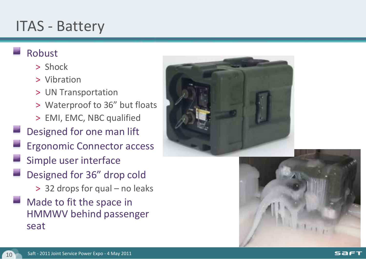#### ITAS - Battery

#### Robust

- > Shock
- > Vibration
- > UN Transportation
- > Waterproof to 36" but floats
- > EMI, EMC, NBC qualified
- Designed for one man lift
	- Ergonomic Connector access
- Simple user interface
- Designed for 36" drop cold
	- > 32 drops for qual no leaks
- Made to fit the space in HMMWV behind passenger seat





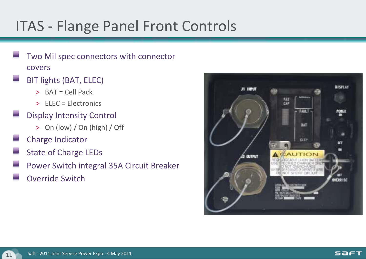## ITAS - Flange Panel Front Controls

- Two Mil spec connectors with connector covers
- BIT lights (BAT, ELEC)
	- > BAT = Cell Pack
	- > ELEC = Electronics
- Display Intensity Control
	- > On (low) / On (high) / Off
- Charge Indicator
- State of Charge LEDs
- Power Switch integral 35A Circuit Breaker
- Override Switch

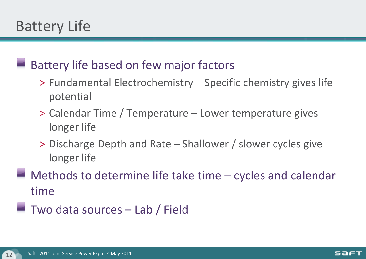## Battery Life

#### Battery life based on few major factors

- > Fundamental Electrochemistry Specific chemistry gives life potential
- > Calendar Time / Temperature Lower temperature gives longer life
- > Discharge Depth and Rate Shallower / slower cycles give longer life
- Methods to determine life take time cycles and calendar time
- $\blacksquare$  Two data sources  $-$  Lab / Field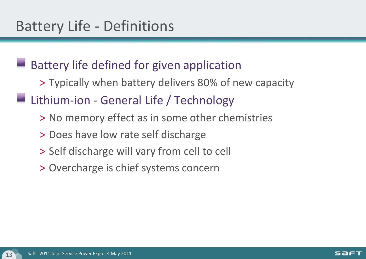#### Battery life defined for given application

- > Typically when battery delivers 80% of new capacity
- Lithium-ion General Life / Technology
	- > No memory effect as in some other chemistries
	- > Does have low rate self discharge
	- > Self discharge will vary from cell to cell
	- > Overcharge is chief systems concern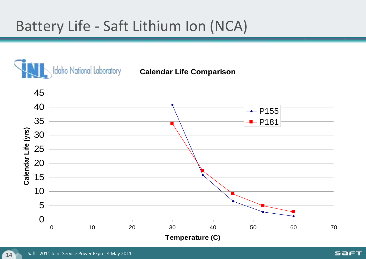## Battery Life - Saft Lithium Ion (NCA)

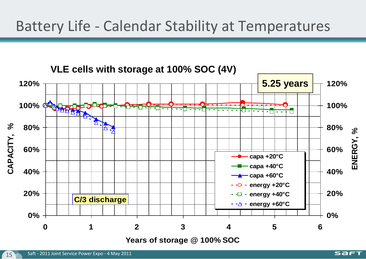#### Battery Life - Calendar Stability at Temperatures



Saft - 2011 Joint Service Power Expo - 4 May 2011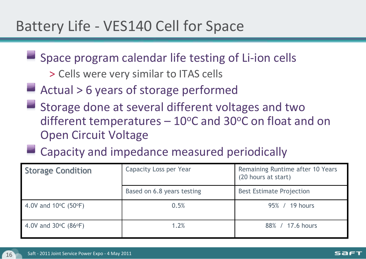#### Battery Life - VES140 Cell for Space

- $\blacksquare$  Space program calendar life testing of Li-ion cells
	- > Cells were very similar to ITAS cells
- Actual > 6 years of storage performed
- Storage done at several different voltages and two different temperatures  $-10^{\circ}$ C and 30 $^{\circ}$ C on float and on Open Circuit Voltage
- **Example 2 Capacity and impedance measured periodically**

| <b>Storage Condition</b>                  | Capacity Loss per Year     | Remaining Runtime after 10 Years<br>(20 hours at start) |
|-------------------------------------------|----------------------------|---------------------------------------------------------|
|                                           | Based on 6.8 years testing | <b>Best Estimate Projection</b>                         |
| 4.0V and $10^{\circ}$ C (50 $^{\circ}$ F) | 0.5%                       | 95% / 19 hours                                          |
| 4.0V and $30^{\circ}$ C (86 $^{\circ}$ F) | 1.2%                       | 88% / 17.6 hours                                        |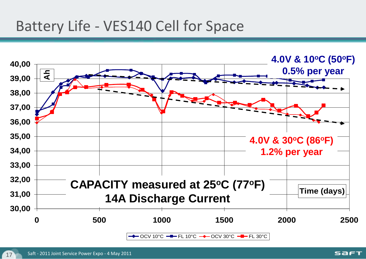#### Battery Life - VES140 Cell for Space

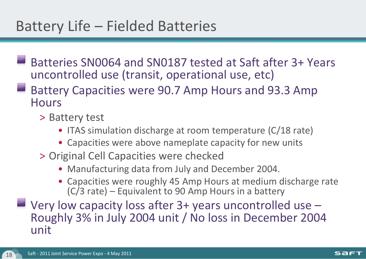## Battery Life – Fielded Batteries

- Batteries SN0064 and SN0187 tested at Saft after 3+ Years uncontrolled use (transit, operational use, etc)
- Battery Capacities were 90.7 Amp Hours and 93.3 Amp **Hours** 
	- > Battery test
		- ITAS simulation discharge at room temperature (C/18 rate)
		- Capacities were above nameplate capacity for new units
	- > Original Cell Capacities were checked
		- Manufacturing data from July and December 2004.
		- Capacities were roughly 45 Amp Hours at medium discharge rate (C/3 rate) – Equivalent to 90 Amp Hours in a battery
- $\blacksquare$  Very low capacity loss after 3+ years uncontrolled use  $\blacksquare$ Roughly 3% in July 2004 unit / No loss in December 2004 unit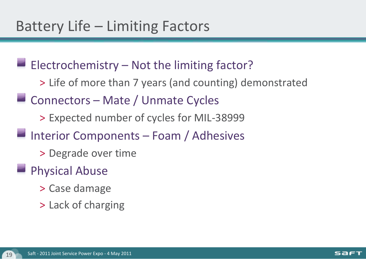$\blacksquare$  Electrochemistry – Not the limiting factor?

> Life of more than 7 years (and counting) demonstrated

**Connectors – Mate / Unmate Cycles** 

> Expected number of cycles for MIL-38999

Interior Components – Foam / Adhesives

> Degrade over time

#### **Physical Abuse**

- > Case damage
- > Lack of charging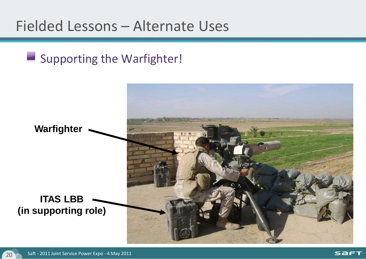#### Fielded Lessons – Alternate Uses

#### Supporting the Warfighter!

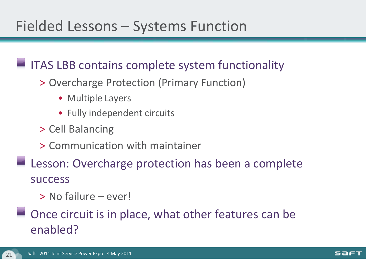#### $\blacksquare$  ITAS LBB contains complete system functionality

- > Overcharge Protection (Primary Function)
	- Multiple Layers
	- Fully independent circuits
- > Cell Balancing
- > Communication with maintainer
- **Lesson: Overcharge protection has been a complete** success
	- > No failure ever!
- $\blacksquare$  Once circuit is in place, what other features can be enabled?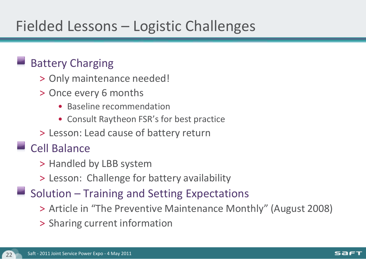## Fielded Lessons – Logistic Challenges

#### Battery Charging

- > Only maintenance needed!
- > Once every 6 months
	- Baseline recommendation
	- Consult Raytheon FSR's for best practice
- > Lesson: Lead cause of battery return

#### Cell Balance

- > Handled by LBB system
- > Lesson: Challenge for battery availability
- $\blacksquare$  Solution Training and Setting Expectations
	- > Article in "The Preventive Maintenance Monthly" (August 2008)
	- > Sharing current information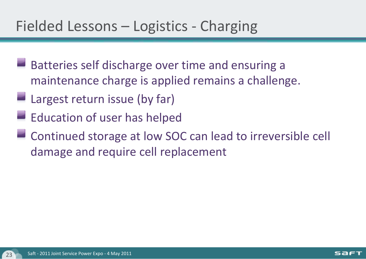#### Fielded Lessons – Logistics - Charging

- Batteries self discharge over time and ensuring a maintenance charge is applied remains a challenge.
- Largest return issue (by far)
- $\blacksquare$  Education of user has helped
- Continued storage at low SOC can lead to irreversible cell damage and require cell replacement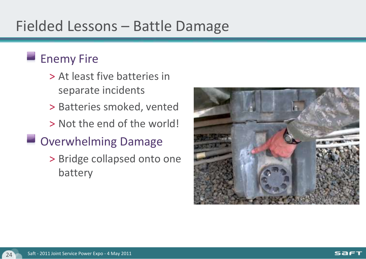## Fielded Lessons – Battle Damage

#### **Enemy Fire**

- > At least five batteries in separate incidents
- > Batteries smoked, vented
- > Not the end of the world!

#### **Overwhelming Damage**

> Bridge collapsed onto one battery

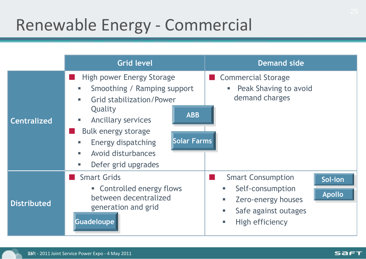# Renewable Energy - Commercial

|                    | <b>Grid level</b>                                                                                                                                                                                                                                                                         | <b>Demand side</b>                                                                                                                                              |
|--------------------|-------------------------------------------------------------------------------------------------------------------------------------------------------------------------------------------------------------------------------------------------------------------------------------------|-----------------------------------------------------------------------------------------------------------------------------------------------------------------|
| <b>Centralized</b> | High power Energy Storage<br>Smoothing / Ramping support<br>ш<br><b>Grid stabilization/Power</b><br>٠<br>Quality<br><b>ABB</b><br>Ancillary services<br>I.<br>Bulk energy storage<br><b>Solar Farms</b><br>Energy dispatching<br>ш<br>Avoid disturbances<br>п<br>Defer grid upgrades<br>Е | Commercial Storage<br>Peak Shaving to avoid<br>ш<br>demand charges                                                                                              |
| <b>Distributed</b> | <b>Smart Grids</b><br>• Controlled energy flows<br>between decentralized<br>generation and grid<br><b>Guadeloupe</b>                                                                                                                                                                      | <b>Smart Consumption</b><br>Sol-ion<br>Self-consumption<br>ш<br><b>Apollo</b><br>Zero-energy houses<br>u.<br>Safe against outages<br>u.<br>High efficiency<br>ш |

**SAFT**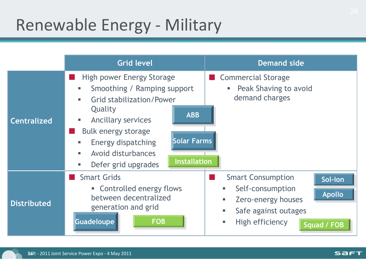# Renewable Energy - Military

|                    | <b>Grid level</b>                                                                                                                                                                                                                                                                                               | <b>Demand side</b>                                                                                                                                                               |
|--------------------|-----------------------------------------------------------------------------------------------------------------------------------------------------------------------------------------------------------------------------------------------------------------------------------------------------------------|----------------------------------------------------------------------------------------------------------------------------------------------------------------------------------|
| <b>Centralized</b> | High power Energy Storage<br>Smoothing / Ramping support<br>ш<br><b>Grid stabilization/Power</b><br>r<br>Quality<br><b>ABB</b><br>Ancillary services<br>Е<br>Bulk energy storage<br><b>Solar Farms</b><br>Energy dispatching<br>ш<br>Avoid disturbances<br>п<br><b>Installation</b><br>Defer grid upgrades<br>ш | Commercial Storage<br>Peak Shaving to avoid<br>ш<br>demand charges                                                                                                               |
| <b>Distributed</b> | <b>Smart Grids</b><br>• Controlled energy flows<br>between decentralized<br>generation and grid<br><b>FOB</b><br><b>Guadeloupe</b>                                                                                                                                                                              | <b>Smart Consumption</b><br>Sol-ion<br>Self-consumption<br><b>Apollo</b><br>Zero-energy houses<br>٠<br>Safe against outages<br>u.<br>High efficiency<br>u.<br><b>Squad / FOB</b> |

**SAFT**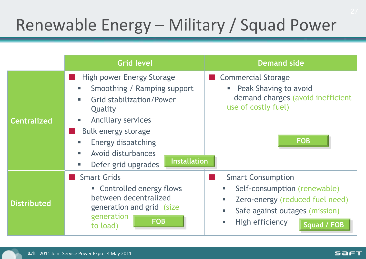# Renewable Energy – Military / Squad Power

|                    | <b>Grid level</b>                                                                                                                                                                                                                                                               | <b>Demand side</b>                                                                                                                                                    |
|--------------------|---------------------------------------------------------------------------------------------------------------------------------------------------------------------------------------------------------------------------------------------------------------------------------|-----------------------------------------------------------------------------------------------------------------------------------------------------------------------|
| <b>Centralized</b> | High power Energy Storage<br>Smoothing / Ramping support<br>U.<br><b>Grid stabilization/Power</b><br>٠<br>Quality<br>Ancillary services<br>J.<br>Bulk energy storage<br>Energy dispatching<br>U.<br>Avoid disturbances<br>٠<br><b>Installation</b><br>Defer grid upgrades<br>U. | Commercial Storage<br>Peak Shaving to avoid<br><b>College</b><br>demand charges (avoid inefficient<br>use of costly fuel)<br><b>FOB</b>                               |
| <b>Distributed</b> | <b>Smart Grids</b><br>• Controlled energy flows<br>between decentralized<br>generation and grid (size<br>generation<br><b>FOB</b><br>to load)                                                                                                                                   | <b>Smart Consumption</b><br>Self-consumption (renewable)<br>Zero-energy (reduced fuel need)<br>m.<br>Safe against outages (mission)<br>High efficiency<br>Squad / FOB |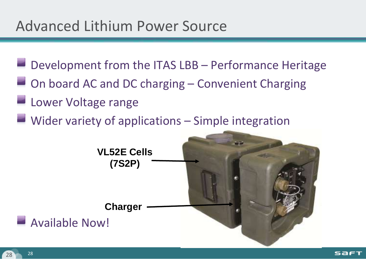#### Advanced Lithium Power Source

- $\blacksquare$  Development from the ITAS LBB Performance Heritage
- **On board AC and DC charging Convenient Charging**
- **Lower Voltage range**
- $\blacksquare$  Wider variety of applications  $\blacksquare$  Simple integration

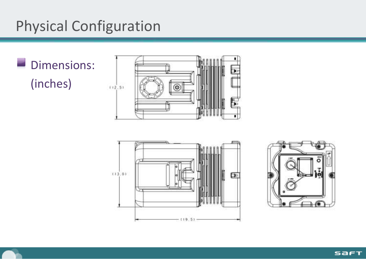## Physical Configuration

×, Dimensions: (inches)







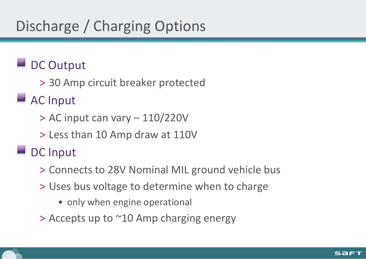## Discharge / Charging Options

#### DC Output

> 30 Amp circuit breaker protected

#### AC Input

- > AC input can vary 110/220V
- > Less than 10 Amp draw at 110V

#### DC Input

- > Connects to 28V Nominal MIL ground vehicle bus
- > Uses bus voltage to determine when to charge
	- only when engine operational
- > Accepts up to ~10 Amp charging energy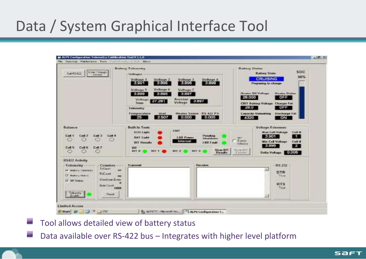## Data / System Graphical Interface Tool

| Erter Thisger<br>Eak RS422<br><b>FISHER</b>                                                                                                                                                                                                                                      | Battery Tolemetry<br>- Williams<br><b>Voltage 1</b><br>Veltage 3<br>Voltage 4<br><b>Woltage 2</b><br>3.998<br>3,901<br>3.996<br>3.895<br><b>Modhaque G</b><br>Veltaux 5<br>Veltage 2<br>7.099<br>3.005<br>3,097<br>Average y<br>Vehicle Farrell<br>3.897<br>Voltage 1<br><b>Same</b><br>Telecostry<br>Тизиригалин<br>Heater Sense: RS-422 PS<br>Wend.<br>2507<br>0.000<br>0.000<br>25 | <b>Dumary States</b><br><b>SOC</b><br><b>Battery State</b><br><b>SO%</b><br><b>CRUSNG</b><br>Preparing In charge.<br><b>Handley OBI Visitages</b><br><b>Shouter States</b><br>28,000<br>OFF<br><b>CHIT Stationy Volknigs</b><br>Changes Tel:<br>28.0<br><b>OPF</b><br><b>Capacity Hemaming</b><br>Discharge Fet |
|----------------------------------------------------------------------------------------------------------------------------------------------------------------------------------------------------------------------------------------------------------------------------------|---------------------------------------------------------------------------------------------------------------------------------------------------------------------------------------------------------------------------------------------------------------------------------------------------------------------------------------------------------------------------------------|-----------------------------------------------------------------------------------------------------------------------------------------------------------------------------------------------------------------------------------------------------------------------------------------------------------------|
| Bahance<br><b>Call 4</b><br><b>Cell 1</b><br>Call 2<br><b>Call</b><br>o<br>ல<br>Cell S.<br>Cell 6<br>CerE<br>ю                                                                                                                                                                   | <b>Built In Tests</b><br><b>CERT</b><br><b>RICAS EMPH</b><br>Pandost<br><b>BAT Light</b><br><b>LES Peace</b><br><b>Shutskomn</b><br>Internal<br><b>BIT Houses</b><br><b>LIST Fault</b><br><b>THEFT</b><br>View BIT<br>\$62.2 30.<br>1221 7<br><b>AUX 27</b><br><b>BUE 31</b><br><b>Florester</b>                                                                                      | $-4320$<br>ON<br><b>Voltage Extenues</b><br>Mine Cell Voltage<br>Cuit a<br>3.901<br>n.<br>世界的<br>Events:<br><b>Nin Call Voltage</b><br><b>Coll II</b><br><b>Sale dillow</b><br>22.<br>3,880<br><b>Sizewall</b><br>Delta Valuege 4,000 CM<br><b>Executive</b>                                                    |
| <b>RS422 Activity</b><br><b>Counters</b><br>- Гобеньену<br>T-Count<br><b>SE</b><br>39 BEETY TENNESS<br><b>FaCount</b><br><b>CA Madison Challen</b><br><b>OIL</b><br><b>Osedoun Exar</b><br><b>D</b> Off Obstar<br><b>I</b><br><b>Bute Count</b><br>TREER<br>Teknoly  <br>Finance | <b>Strawards</b><br>Поисили                                                                                                                                                                                                                                                                                                                                                           | RS 232<br><b>DTR</b><br>Time<br><b>RTS</b><br>Titue                                                                                                                                                                                                                                                             |

Tool allows detailed view of battery status

Data available over RS-422 bus – Integrates with higher level platform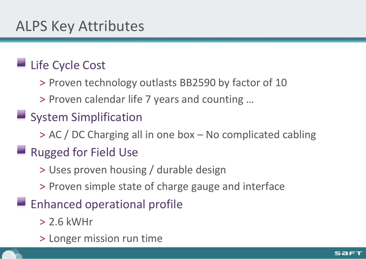#### Life Cycle Cost

> Proven technology outlasts BB2590 by factor of 10

> Proven calendar life 7 years and counting …

#### System Simplification

> AC / DC Charging all in one box – No complicated cabling

#### **Rugged for Field Use**

> Uses proven housing / durable design

- > Proven simple state of charge gauge and interface
- $\blacksquare$  Enhanced operational profile
	- > 2.6 kWHr
	- > Longer mission run time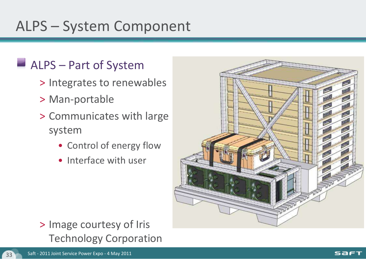## ALPS – System Component

#### ALPS – Part of System

- > Integrates to renewables
- > Man-portable
- > Communicates with large system
	- Control of energy flow
	- Interface with user



#### > Image courtesy of Iris Technology Corporation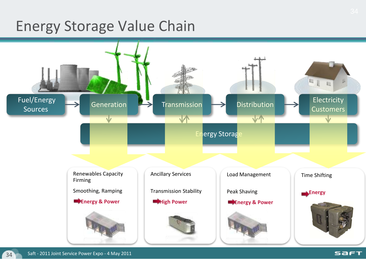#### Energy Storage Value Chain

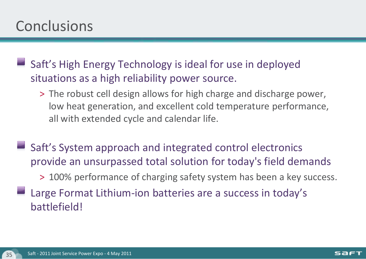#### **Conclusions**

Saft's High Energy Technology is ideal for use in deployed situations as a high reliability power source.

- > The robust cell design allows for high charge and discharge power, low heat generation, and excellent cold temperature performance, all with extended cycle and calendar life.
- Saft's System approach and integrated control electronics provide an unsurpassed total solution for today's field demands > 100% performance of charging safety system has been a key success. Large Format Lithium-ion batteries are a success in today's battlefield!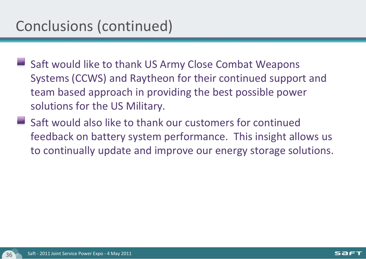## Conclusions (continued)

- Saft would like to thank US Army Close Combat Weapons Systems (CCWS) and Raytheon for their continued support and team based approach in providing the best possible power solutions for the US Military.
- Saft would also like to thank our customers for continued feedback on battery system performance. This insight allows us to continually update and improve our energy storage solutions.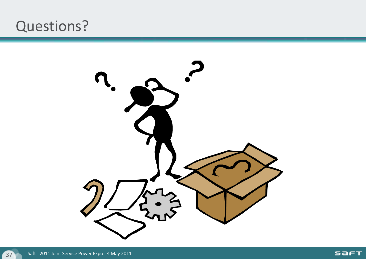#### Questions?